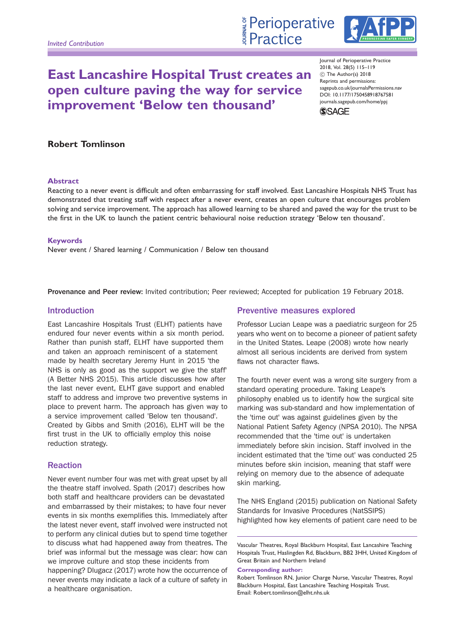

# East Lancashire Hospital Trust creates an open culture paving the way for service improvement 'Below ten thousand'

#### Journal of Perioperative Practice 2018, Vol. 28(5) 115–119  $©$  The Author(s) 2018 Reprints and permissions: [sagepub.co.uk/journalsPermissions.nav](http://uk.sagepub.com/en-gb/journals-permissions) [DOI: 10.1177/1750458918767581](http://dx.doi.org/10.1177/1750458918767581) <journals.sagepub.com/home/ppj>



## Robert Tomlinson

#### Abstract

Reacting to a never event is difficult and often embarrassing for staff involved. East Lancashire Hospitals NHS Trust has demonstrated that treating staff with respect after a never event, creates an open culture that encourages problem solving and service improvement. The approach has allowed learning to be shared and paved the way for the trust to be the first in the UK to launch the patient centric behavioural noise reduction strategy 'Below ten thousand'.

#### Keywords

Never event / Shared learning / Communication / Below ten thousand

Provenance and Peer review: Invited contribution; Peer reviewed; Accepted for publication 19 February 2018.

#### Introduction

East Lancashire Hospitals Trust (ELHT) patients have endured four never events within a six month period. Rather than punish staff, ELHT have supported them and taken an approach reminiscent of a statement made by health secretary Jeremy Hunt in 2015 'the NHS is only as good as the support we give the staff' (A Better NHS 2015). This article discusses how after the last never event, ELHT gave support and enabled staff to address and improve two preventive systems in place to prevent harm. The approach has given way to a service improvement called 'Below ten thousand'. Created by Gibbs and Smith (2016), ELHT will be the first trust in the UK to officially employ this noise reduction strategy.

## Reaction

a healthcare organisation.

Never event number four was met with great upset by all the theatre staff involved. Spath (2017) describes how both staff and healthcare providers can be devastated and embarrassed by their mistakes; to have four never events in six months exemplifies this. Immediately after the latest never event, staff involved were instructed not to perform any clinical duties but to spend time together to discuss what had happened away from theatres. The brief was informal but the message was clear: how can we improve culture and stop these incidents from happening? Dlugacz (2017) wrote how the occurrence of never events may indicate a lack of a culture of safety in

## Preventive measures explored

Professor Lucian Leape was a paediatric surgeon for 25 years who went on to become a pioneer of patient safety in the United States. Leape (2008) wrote how nearly almost all serious incidents are derived from system flaws not character flaws.

The fourth never event was a wrong site surgery from a standard operating procedure. Taking Leape's philosophy enabled us to identify how the surgical site marking was sub-standard and how implementation of the 'time out' was against guidelines given by the National Patient Safety Agency (NPSA 2010). The NPSA recommended that the 'time out' is undertaken immediately before skin incision. Staff involved in the incident estimated that the 'time out' was conducted 25 minutes before skin incision, meaning that staff were relying on memory due to the absence of adequate skin marking.

The NHS England (2015) publication on National Safety Standards for Invasive Procedures (NatSSIPS) highlighted how key elements of patient care need to be

Vascular Theatres, Royal Blackburn Hospital, East Lancashire Teaching Hospitals Trust, Haslingden Rd, Blackburn, BB2 3HH, United Kingdom of Great Britain and Northern Ireland

Corresponding author:

Robert Tomlinson RN, Junior Charge Nurse, Vascular Theatres, Royal Blackburn Hospital, East Lancashire Teaching Hospitals Trust. Email: [Robert.tomlinson@elht.nhs.uk](mailto:Robert.tomlinson@elht.nhs.uk)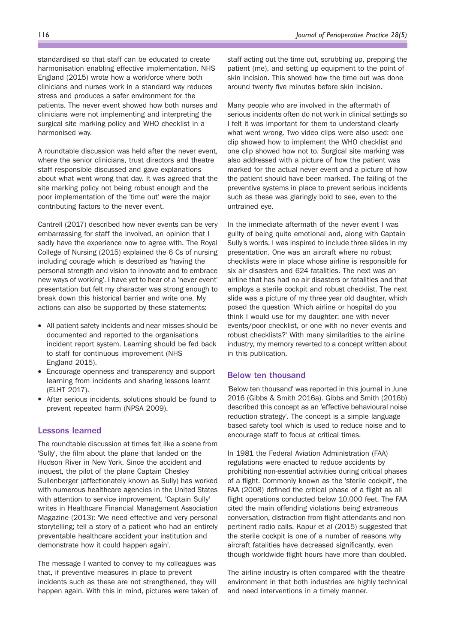standardised so that staff can be educated to create harmonisation enabling effective implementation. NHS England (2015) wrote how a workforce where both clinicians and nurses work in a standard way reduces stress and produces a safer environment for the patients. The never event showed how both nurses and clinicians were not implementing and interpreting the surgical site marking policy and WHO checklist in a harmonised way.

A roundtable discussion was held after the never event, where the senior clinicians, trust directors and theatre staff responsible discussed and gave explanations about what went wrong that day. It was agreed that the site marking policy not being robust enough and the poor implementation of the 'time out' were the major contributing factors to the never event.

Cantrell (2017) described how never events can be very embarrassing for staff the involved, an opinion that I sadly have the experience now to agree with. The Royal College of Nursing (2015) explained the 6 Cs of nursing including courage which is described as 'having the personal strength and vision to innovate and to embrace new ways of working'. I have yet to hear of a 'never event' presentation but felt my character was strong enough to break down this historical barrier and write one. My actions can also be supported by these statements:

- All patient safety incidents and near misses should be documented and reported to the organisations incident report system. Learning should be fed back to staff for continuous improvement (NHS England 2015).
- Encourage openness and transparency and support learning from incidents and sharing lessons learnt (ELHT 2017).
- After serious incidents, solutions should be found to prevent repeated harm (NPSA 2009).

## Lessons learned

The roundtable discussion at times felt like a scene from 'Sully', the film about the plane that landed on the Hudson River in New York. Since the accident and inquest, the pilot of the plane Captain Chesley Sullenberger (affectionately known as Sully) has worked with numerous healthcare agencies in the United States with attention to service improvement. 'Captain Sully' writes in Healthcare Financial Management Association Magazine (2013): 'We need effective and very personal storytelling; tell a story of a patient who had an entirely preventable healthcare accident your institution and demonstrate how it could happen again'.

The message I wanted to convey to my colleagues was that, if preventive measures in place to prevent incidents such as these are not strengthened, they will happen again. With this in mind, pictures were taken of staff acting out the time out, scrubbing up, prepping the patient (me), and setting up equipment to the point of skin incision. This showed how the time out was done around twenty five minutes before skin incision.

Many people who are involved in the aftermath of serious incidents often do not work in clinical settings so I felt it was important for them to understand clearly what went wrong. Two video clips were also used: one clip showed how to implement the WHO checklist and one clip showed how not to. Surgical site marking was also addressed with a picture of how the patient was marked for the actual never event and a picture of how the patient should have been marked. The failing of the preventive systems in place to prevent serious incidents such as these was glaringly bold to see, even to the untrained eye.

In the immediate aftermath of the never event I was guilty of being quite emotional and, along with Captain Sully's words, I was inspired to include three slides in my presentation. One was an aircraft where no robust checklists were in place whose airline is responsible for six air disasters and 624 fatalities. The next was an airline that has had no air disasters or fatalities and that employs a sterile cockpit and robust checklist. The next slide was a picture of my three year old daughter, which posed the question 'Which airline or hospital do you think I would use for my daughter: one with never events/poor checklist, or one with no never events and robust checklists?' With many similarities to the airline industry, my memory reverted to a concept written about in this publication.

#### Below ten thousand

'Below ten thousand' was reported in this journal in June 2016 (Gibbs & Smith 2016a). Gibbs and Smith (2016b) described this concept as an 'effective behavioural noise reduction strategy'. The concept is a simple language based safety tool which is used to reduce noise and to encourage staff to focus at critical times.

In 1981 the Federal Aviation Administration (FAA) regulations were enacted to reduce accidents by prohibiting non-essential activities during critical phases of a flight. Commonly known as the 'sterile cockpit', the FAA (2008) defined the critical phase of a flight as all flight operations conducted below 10,000 feet. The FAA cited the main offending violations being extraneous conversation, distraction from flight attendants and nonpertinent radio calls. Kapur et al (2015) suggested that the sterile cockpit is one of a number of reasons why aircraft fatalities have decreased significantly, even though worldwide flight hours have more than doubled.

The airline industry is often compared with the theatre environment in that both industries are highly technical and need interventions in a timely manner.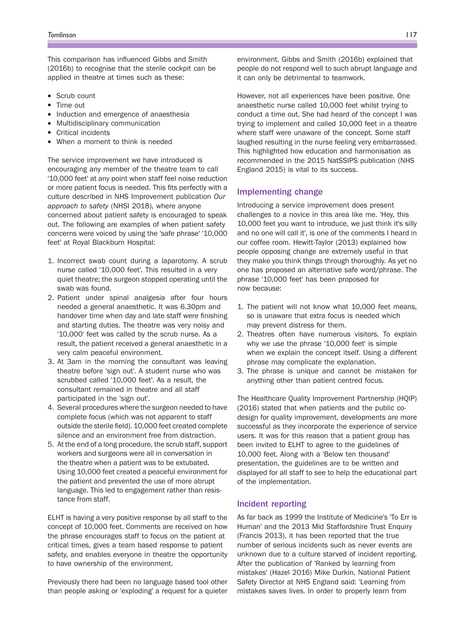This comparison has influenced Gibbs and Smith (2016b) to recognise that the sterile cockpit can be applied in theatre at times such as these:

- Scrub count
- Time out
- Induction and emergence of anaesthesia
- Multidisciplinary communication
- Critical incidents
- When a moment to think is needed

The service improvement we have introduced is encouraging any member of the theatre team to call '10,000 feet' at any point when staff feel noise reduction or more patient focus is needed. This fits perfectly with a culture described in NHS Improvement publication Our approach to safety (NHSI 2018), where anyone concerned about patient safety is encouraged to speak out. The following are examples of when patient safety concerns were voiced by using the 'safe phrase' '10,000 feet' at Royal Blackburn Hospital:

- 1. Incorrect swab count during a laparotomy. A scrub nurse called '10,000 feet'. This resulted in a very quiet theatre; the surgeon stopped operating until the swab was found.
- 2. Patient under spinal analgesia after four hours needed a general anaesthetic. It was 6.30pm and handover time when day and late staff were finishing and starting duties. The theatre was very noisy and '10,000' feet was called by the scrub nurse. As a result, the patient received a general anaesthetic in a very calm peaceful environment.
- 3. At 3am in the morning the consultant was leaving theatre before 'sign out'. A student nurse who was scrubbed called '10,000 feet'. As a result, the consultant remained in theatre and all staff participated in the 'sign out'.
- 4. Several procedures where the surgeon needed to have complete focus (which was not apparent to staff outside the sterile field). 10,000 feet created complete silence and an environment free from distraction.
- 5. At the end of a long procedure, the scrub staff, support workers and surgeons were all in conversation in the theatre when a patient was to be extubated. Using 10,000 feet created a peaceful environment for the patient and prevented the use of more abrupt language. This led to engagement rather than resistance from staff.

ELHT is having a very positive response by all staff to the concept of 10,000 feet. Comments are received on how the phrase encourages staff to focus on the patient at critical times, gives a team based response to patient safety, and enables everyone in theatre the opportunity to have ownership of the environment.

Previously there had been no language based tool other than people asking or 'exploding' a request for a quieter environment. Gibbs and Smith (2016b) explained that people do not respond well to such abrupt language and it can only be detrimental to teamwork.

However, not all experiences have been positive. One anaesthetic nurse called 10,000 feet whilst trying to conduct a time out. She had heard of the concept I was trying to implement and called 10,000 feet in a theatre where staff were unaware of the concept. Some staff laughed resulting in the nurse feeling very embarrassed. This highlighted how education and harmonisation as recommended in the 2015 NatSSIPS publication (NHS England 2015) is vital to its success.

## Implementing change

Introducing a service improvement does present challenges to a novice in this area like me. 'Hey, this 10,000 feet you want to introduce, we just think it's silly and no one will call it', is one of the comments I heard in our coffee room. Hewitt-Taylor (2013) explained how people opposing change are extremely useful in that they make you think things through thoroughly. As yet no one has proposed an alternative safe word/phrase. The phrase '10,000 feet' has been proposed for now because:

- 1. The patient will not know what 10,000 feet means, so is unaware that extra focus is needed which may prevent distress for them.
- 2. Theatres often have numerous visitors. To explain why we use the phrase '10,000 feet' is simple when we explain the concept itself. Using a different phrase may complicate the explanation.
- 3. The phrase is unique and cannot be mistaken for anything other than patient centred focus.

The Healthcare Quality Improvement Partnership (HQIP) (2016) stated that when patients and the public codesign for quality improvement, developments are more successful as they incorporate the experience of service users. It was for this reason that a patient group has been invited to ELHT to agree to the guidelines of 10,000 feet. Along with a 'Below ten thousand' presentation, the guidelines are to be written and displayed for all staff to see to help the educational part of the implementation.

#### Incident reporting

As far back as 1999 the Institute of Medicine's 'To Err is Human' and the 2013 Mid Staffordshire Trust Enquiry (Francis 2013), it has been reported that the true number of serious incidents such as never events are unknown due to a culture starved of incident reporting. After the publication of 'Ranked by learning from mistakes' (Hazel 2016) Mike Durkin, National Patient Safety Director at NHS England said: 'Learning from mistakes saves lives. In order to properly learn from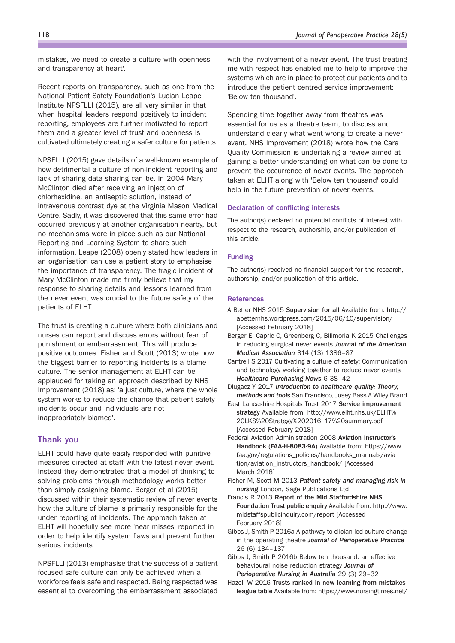mistakes, we need to create a culture with openness and transparency at heart'.

Recent reports on transparency, such as one from the National Patient Safety Foundation's Lucian Leape Institute NPSFLLI (2015), are all very similar in that when hospital leaders respond positively to incident reporting, employees are further motivated to report them and a greater level of trust and openness is cultivated ultimately creating a safer culture for patients.

NPSFLLI (2015) gave details of a well-known example of how detrimental a culture of non-incident reporting and lack of sharing data sharing can be. In 2004 Mary McClinton died after receiving an injection of chlorhexidine, an antiseptic solution, instead of intravenous contrast dye at the Virginia Mason Medical Centre. Sadly, it was discovered that this same error had occurred previously at another organisation nearby, but no mechanisms were in place such as our National Reporting and Learning System to share such information. Leape (2008) openly stated how leaders in an organisation can use a patient story to emphasise the importance of transparency. The tragic incident of Mary McClinton made me firmly believe that my response to sharing details and lessons learned from the never event was crucial to the future safety of the patients of ELHT.

The trust is creating a culture where both clinicians and nurses can report and discuss errors without fear of punishment or embarrassment. This will produce positive outcomes. Fisher and Scott (2013) wrote how the biggest barrier to reporting incidents is a blame culture. The senior management at ELHT can be applauded for taking an approach described by NHS Improvement (2018) as: 'a just culture, where the whole system works to reduce the chance that patient safety incidents occur and individuals are not inappropriately blamed'.

## Thank you

ELHT could have quite easily responded with punitive measures directed at staff with the latest never event. Instead they demonstrated that a model of thinking to solving problems through methodology works better than simply assigning blame. Berger et al (2015) discussed within their systematic review of never events how the culture of blame is primarily responsible for the under reporting of incidents. The approach taken at ELHT will hopefully see more 'near misses' reported in order to help identify system flaws and prevent further serious incidents.

NPSFLLI (2013) emphasise that the success of a patient focused safe culture can only be achieved when a workforce feels safe and respected. Being respected was essential to overcoming the embarrassment associated

with the involvement of a never event. The trust treating me with respect has enabled me to help to improve the systems which are in place to protect our patients and to introduce the patient centred service improvement: 'Below ten thousand'.

Spending time together away from theatres was essential for us as a theatre team, to discuss and understand clearly what went wrong to create a never event. NHS Improvement (2018) wrote how the Care Quality Commission is undertaking a review aimed at gaining a better understanding on what can be done to prevent the occurrence of never events. The approach taken at ELHT along with 'Below ten thousand' could help in the future prevention of never events.

## Declaration of conflicting interests

The author(s) declared no potential conflicts of interest with respect to the research, authorship, and/or publication of this article.

#### Funding

The author(s) received no financial support for the research, authorship, and/or publication of this article.

#### **References**

- A Better NHS 2015 Supervision for all Available from: [http://](http://abetternhs.wordpress.com/2015/06/10/supervision/) [abetternhs.wordpress.com/2015/06/10/supervision/](http://abetternhs.wordpress.com/2015/06/10/supervision/) [Accessed February 2018]
- Berger E, Capric C, Greenberg C, Bilimoria K 2015 Challenges in reducing surgical never events Journal of the American Medical Association 314 (13) 1386–<sup>87</sup>
- Cantrell S 2017 Cultivating a culture of safety: Communication and technology working together to reduce never events Healthcare Purchasing News 6 38–<sup>42</sup>

Dlugacz Y 2017 Introduction to healthcare quality: Theory, methods and tools San Francisco, Josey Bass A Wiley Brand

- East Lancashire Hospitals Trust 2017 Service improvement strategy Available from: [http://www.elht.nhs.uk/ELHT](http://www.elht.nhs.uk/ELHT20LKS20Strategy202016_1720summary.pdf)% [20LKS](http://www.elht.nhs.uk/ELHT20LKS20Strategy202016_1720summary.pdf)%[20Strategy%202016\\_17%20summary.pdf](http://www.elht.nhs.uk/ELHT20LKS20Strategy202016_1720summary.pdf) [Accessed February 2018]
- Federal Aviation Administration 2008 Aviation Instructor's Handbook (FAA-H-8083-9A) Available from: [https://www.](https://www.faa.gov/regulations_policies/handbooks_manuals/aviation/aviation_instructors_handbook/) [faa.gov/regulations\\_policies/handbooks\\_manuals/avia](https://www.faa.gov/regulations_policies/handbooks_manuals/aviation/aviation_instructors_handbook/) [tion/aviation\\_instructors\\_handbook/](https://www.faa.gov/regulations_policies/handbooks_manuals/aviation/aviation_instructors_handbook/) [Accessed March 2018]

Fisher M, Scott M 2013 Patient safety and managing risk in nursing London, Sage Publications Ltd

Francis R 2013 Report of the Mid Staffordshire NHS Foundation Trust public enquiry Available from: [http://www.](http://www.midstaffspublicinquiry.com/report) [midstaffspublicinquiry.com/report](http://www.midstaffspublicinquiry.com/report) [Accessed February 2018]

- Gibbs J, Smith P 2016a A pathway to clician-led culture change in the operating theatre Journal of Perioperative Practice 26 (6) 134–137
- Gibbs J, Smith P 2016b Below ten thousand: an effective behavioural noise reduction strategy Journal of Perioperative Nursing in Australia 29 (3) 29–<sup>32</sup>
- Hazell W 2016 Trusts ranked in new learning from mistakes league table Available from: [https://www.nursingtimes.net/](https://www.nursingtimes.net/news/workforce/trusts-ranked-in-new-learning-from-mistakes-league-table/7003128.article)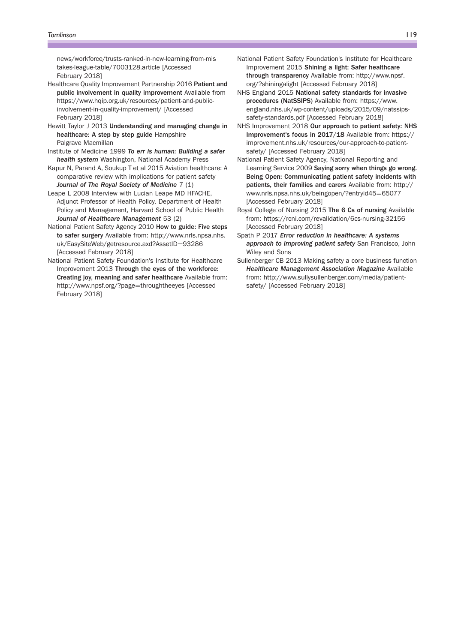[news/workforce/trusts-ranked-in-new-learning-from-mis](https://www.nursingtimes.net/news/workforce/trusts-ranked-in-new-learning-from-mistakes-league-table/7003128.article) [takes-league-table/7003128.article](https://www.nursingtimes.net/news/workforce/trusts-ranked-in-new-learning-from-mistakes-league-table/7003128.article) [Accessed February 2018]

- Healthcare Quality Improvement Partnership 2016 Patient and public involvement in quality improvement Available from [https://www.hqip.org.uk/resources/patient-and-public](https://www.hqip.org.uk/resources/patient-and-public-involvement-in-quality-improvement/)[involvement-in-quality-improvement/](https://www.hqip.org.uk/resources/patient-and-public-involvement-in-quality-improvement/) [Accessed February 2018]
- Hewitt Taylor J 2013 Understanding and managing change in healthcare: A step by step guide Hampshire Palgrave Macmillan
- Institute of Medicine 1999 To err is human: Building a safer health system Washington, National Academy Press
- Kapur N, Parand A, Soukup T et al 2015 Aviation healthcare: A comparative review with implications for patient safety Journal of The Royal Society of Medicine 7 (1)
- Leape L 2008 Interview with Lucian Leape MD HFACHE, Adjunct Professor of Health Policy, Department of Health Policy and Management, Harvard School of Public Health Journal of Healthcare Management 53 (2)
- National Patient Safety Agency 2010 How to guide: Five steps to safer surgery Available from: [http://www.nrls.npsa.nhs.](http://www.nrls.npsa.nhs.uk/EasySiteWeb/getresource.axd?AssetID93286) [uk/EasySiteWeb/getresource.axd?AssetID](http://www.nrls.npsa.nhs.uk/EasySiteWeb/getresource.axd?AssetID93286)=[93286](http://www.nrls.npsa.nhs.uk/EasySiteWeb/getresource.axd?AssetID93286) [Accessed February 2018]
- National Patient Safety Foundation's Institute for Healthcare Improvement 2013 Through the eyes of the workforce: Creating joy, meaning and safer healthcare Available from: [http://www.npsf.org/?page](http://www.npsf.org/?pagethroughtheeyes)=[throughtheeyes](http://www.npsf.org/?pagethroughtheeyes) [Accessed February 2018]
- National Patient Safety Foundation's Institute for Healthcare Improvement 2015 Shining a light: Safer healthcare through transparency Available from: [http://www.npsf.](http://www.npsf.org/?shiningalight) [org/?shiningalight](http://www.npsf.org/?shiningalight) [Accessed February 2018]
- NHS England 2015 National safety standards for invasive procedures (NatSSIPS) Available from: [https://www.](https://www.england.nhs.uk/wp-content/uploads/2015/09/natssips-safety-standards.pdf) [england.nhs.uk/wp-content/uploads/2015/09/natssips](https://www.england.nhs.uk/wp-content/uploads/2015/09/natssips-safety-standards.pdf)[safety-standards.pdf](https://www.england.nhs.uk/wp-content/uploads/2015/09/natssips-safety-standards.pdf) [Accessed February 2018]
- NHS Improvement 2018 Our approach to patient safety: NHS Improvement's focus in 2017/18 Available from: [https://](https://improvement.nhs.uk/resources/our-approach-to-patient-safety) [improvement.nhs.uk/resources/our-approach-to-patient](https://improvement.nhs.uk/resources/our-approach-to-patient-safety)[safety/](https://improvement.nhs.uk/resources/our-approach-to-patient-safety) [Accessed February 2018]
- National Patient Safety Agency, National Reporting and Learning Service 2009 Saying sorry when things go wrong. Being Open: Communicating patient safety incidents with patients, their families and carers Available from: [http://](http://www.nrls.npsa.nhs.uk/beingopen/?entryid4565077) [www.nrls.npsa.nhs.uk/beingopen/?entryid45](http://www.nrls.npsa.nhs.uk/beingopen/?entryid4565077)=[65077](http://www.nrls.npsa.nhs.uk/beingopen/?entryid4565077) [Accessed February 2018]
- Royal College of Nursing 2015 The 6 Cs of nursing Available from:<https://rcni.com/revalidation/6cs-nursing-32156> [Accessed February 2018]
- Spath P 2017 Error reduction in healthcare: A systems approach to improving patient safety San Francisco, John Wiley and Sons
- Sullenberger CB 2013 Making safety a core business function Healthcare Management Association Magazine Available from: [http://www.sullysullenberger.com/media/patient](http://www.sullysullenberger.com/media/patient-safety/)[safety/](http://www.sullysullenberger.com/media/patient-safety/) [Accessed February 2018]